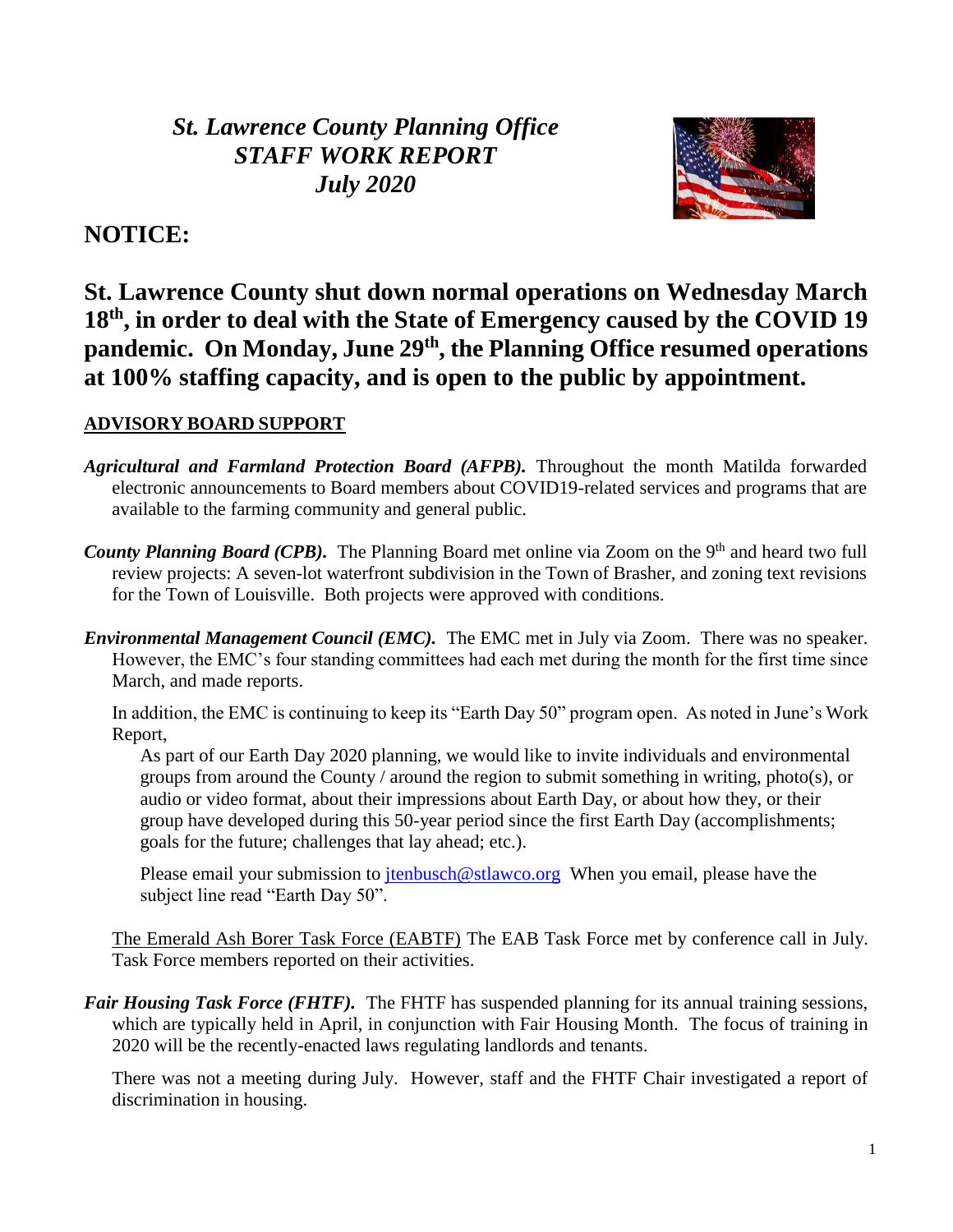*St. Lawrence County Planning Office STAFF WORK REPORT July 2020*



# **NOTICE:**

**St. Lawrence County shut down normal operations on Wednesday March 18th, in order to deal with the State of Emergency caused by the COVID 19 pandemic. On Monday, June 29th, the Planning Office resumed operations at 100% staffing capacity, and is open to the public by appointment.**

## **ADVISORY BOARD SUPPORT**

- *Agricultural and Farmland Protection Board (AFPB).* Throughout the month Matilda forwarded electronic announcements to Board members about COVID19-related services and programs that are available to the farming community and general public.
- County Planning Board (CPB). The Planning Board met online via Zoom on the 9<sup>th</sup> and heard two full review projects: A seven-lot waterfront subdivision in the Town of Brasher, and zoning text revisions for the Town of Louisville. Both projects were approved with conditions.
- *Environmental Management Council (EMC).* The EMC met in July via Zoom. There was no speaker. However, the EMC's four standing committees had each met during the month for the first time since March, and made reports.

In addition, the EMC is continuing to keep its "Earth Day 50" program open. As noted in June's Work Report,

As part of our Earth Day 2020 planning, we would like to invite individuals and environmental groups from around the County / around the region to submit something in writing, photo(s), or audio or video format, about their impressions about Earth Day, or about how they, or their group have developed during this 50-year period since the first Earth Day (accomplishments; goals for the future; challenges that lay ahead; etc.).

Please email your submission to  $\frac{\text{tenbusch@stlawco.org}}{\text{tenbusch@stawco.org}}$  When you email, please have the subject line read "Earth Day 50".

The Emerald Ash Borer Task Force (EABTF) The EAB Task Force met by conference call in July. Task Force members reported on their activities.

*Fair Housing Task Force (FHTF)*. The FHTF has suspended planning for its annual training sessions, which are typically held in April, in conjunction with Fair Housing Month. The focus of training in 2020 will be the recently-enacted laws regulating landlords and tenants.

There was not a meeting during July. However, staff and the FHTF Chair investigated a report of discrimination in housing.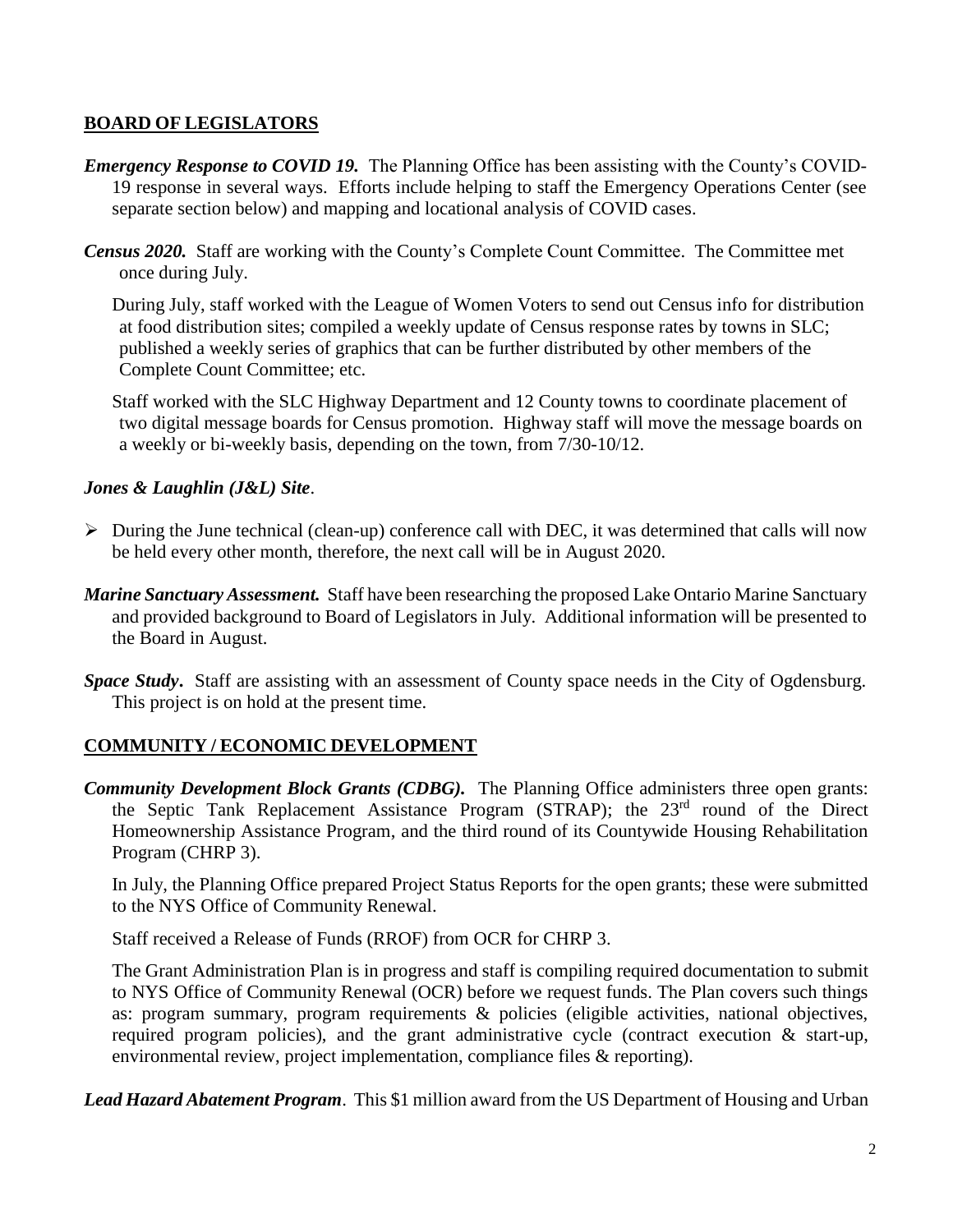#### **BOARD OF LEGISLATORS**

- *Emergency Response to COVID 19.* The Planning Office has been assisting with the County's COVID-19 response in several ways. Efforts include helping to staff the Emergency Operations Center (see separate section below) and mapping and locational analysis of COVID cases.
- *Census 2020.* Staff are working with the County's Complete Count Committee. The Committee met once during July.

During July, staff worked with the League of Women Voters to send out Census info for distribution at food distribution sites; compiled a weekly update of Census response rates by towns in SLC; published a weekly series of graphics that can be further distributed by other members of the Complete Count Committee; etc.

Staff worked with the SLC Highway Department and 12 County towns to coordinate placement of two digital message boards for Census promotion. Highway staff will move the message boards on a weekly or bi-weekly basis, depending on the town, from 7/30-10/12.

#### *Jones & Laughlin (J&L) Site*.

- $\triangleright$  During the June technical (clean-up) conference call with DEC, it was determined that calls will now be held every other month, therefore, the next call will be in August 2020.
- *Marine Sanctuary Assessment.* Staff have been researching the proposed Lake Ontario Marine Sanctuary and provided background to Board of Legislators in July. Additional information will be presented to the Board in August.
- *Space Study***.** Staff are assisting with an assessment of County space needs in the City of Ogdensburg. This project is on hold at the present time.

## **COMMUNITY / ECONOMIC DEVELOPMENT**

*Community Development Block Grants (CDBG).* The Planning Office administers three open grants: the Septic Tank Replacement Assistance Program (STRAP); the 23<sup>rd</sup> round of the Direct Homeownership Assistance Program, and the third round of its Countywide Housing Rehabilitation Program (CHRP 3).

In July, the Planning Office prepared Project Status Reports for the open grants; these were submitted to the NYS Office of Community Renewal.

Staff received a Release of Funds (RROF) from OCR for CHRP 3.

The Grant Administration Plan is in progress and staff is compiling required documentation to submit to NYS Office of Community Renewal (OCR) before we request funds. The Plan covers such things as: program summary, program requirements & policies (eligible activities, national objectives, required program policies), and the grant administrative cycle (contract execution & start-up, environmental review, project implementation, compliance files & reporting).

*Lead Hazard Abatement Program*. This \$1 million award from the US Department of Housing and Urban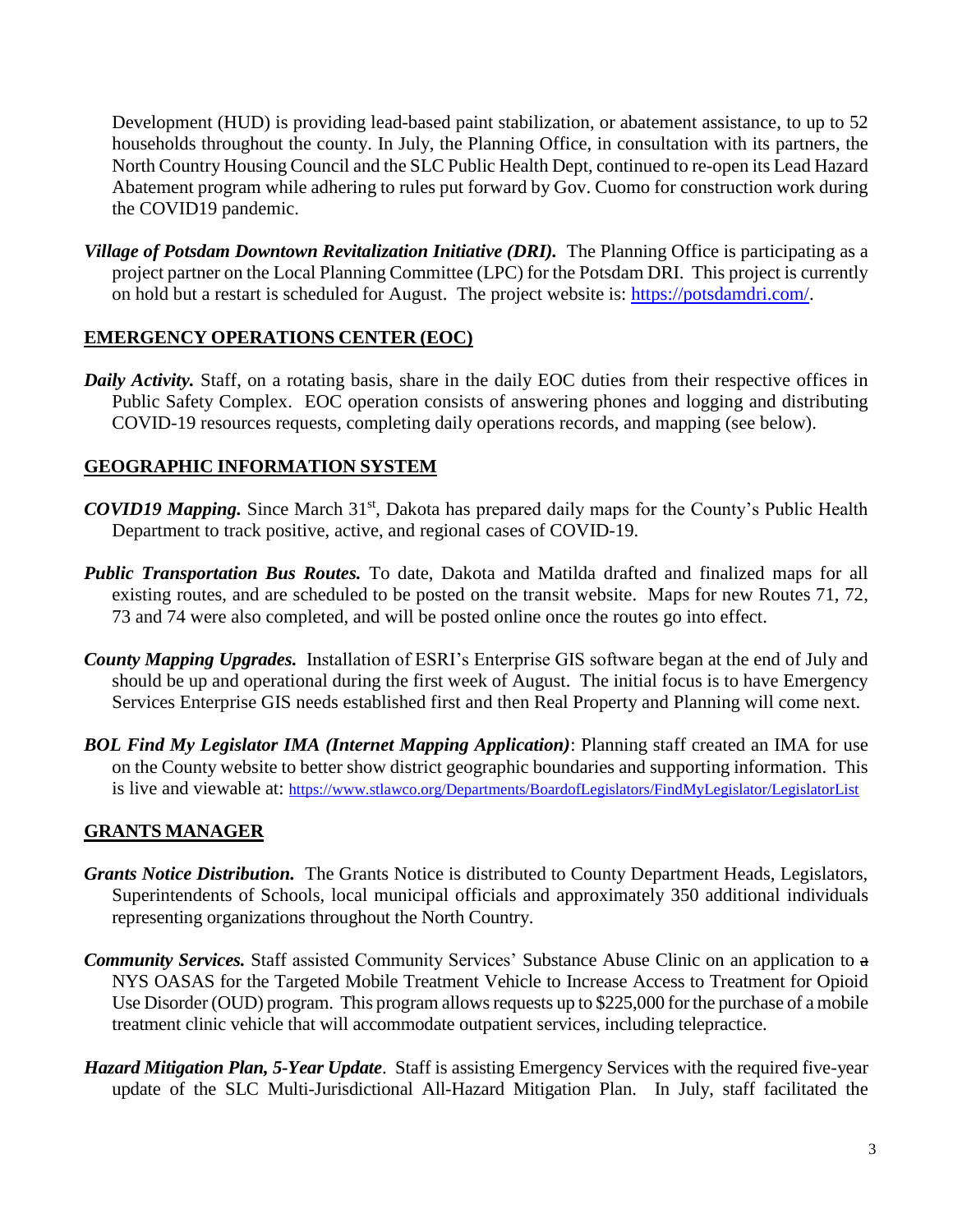Development (HUD) is providing lead-based paint stabilization, or abatement assistance, to up to 52 households throughout the county. In July, the Planning Office, in consultation with its partners, the North Country Housing Council and the SLC Public Health Dept, continued to re-open its Lead Hazard Abatement program while adhering to rules put forward by Gov. Cuomo for construction work during the COVID19 pandemic.

*Village of Potsdam Downtown Revitalization Initiative (DRI).* The Planning Office is participating as a project partner on the Local Planning Committee (LPC) for the Potsdam DRI. This project is currently on hold but a restart is scheduled for August. The project website is: [https://potsdamdri.com/.](https://potsdamdri.com/)

### **EMERGENCY OPERATIONS CENTER (EOC)**

*Daily Activity.* Staff, on a rotating basis, share in the daily EOC duties from their respective offices in Public Safety Complex. EOC operation consists of answering phones and logging and distributing COVID-19 resources requests, completing daily operations records, and mapping (see below).

## **GEOGRAPHIC INFORMATION SYSTEM**

- *COVID19 Mapping.* Since March 31<sup>st</sup>, Dakota has prepared daily maps for the County's Public Health Department to track positive, active, and regional cases of COVID-19.
- *Public Transportation Bus Routes.* To date, Dakota and Matilda drafted and finalized maps for all existing routes, and are scheduled to be posted on the transit website. Maps for new Routes 71, 72, 73 and 74 were also completed, and will be posted online once the routes go into effect.
- *County Mapping Upgrades.* Installation of ESRI's Enterprise GIS software began at the end of July and should be up and operational during the first week of August. The initial focus is to have Emergency Services Enterprise GIS needs established first and then Real Property and Planning will come next.
- *BOL Find My Legislator IMA (Internet Mapping Application)*: Planning staff created an IMA for use on the County website to better show district geographic boundaries and supporting information. This is live and viewable at: <https://www.stlawco.org/Departments/BoardofLegislators/FindMyLegislator/LegislatorList>

## **GRANTS MANAGER**

- *Grants Notice Distribution.* The Grants Notice is distributed to County Department Heads, Legislators, Superintendents of Schools, local municipal officials and approximately 350 additional individuals representing organizations throughout the North Country.
- *Community Services.* Staff assisted Community Services' Substance Abuse Clinic on an application to a NYS OASAS for the Targeted Mobile Treatment Vehicle to Increase Access to Treatment for Opioid Use Disorder (OUD) program. This program allows requests up to \$225,000 for the purchase of a mobile treatment clinic vehicle that will accommodate outpatient services, including telepractice.
- *Hazard Mitigation Plan, 5-Year Update*. Staff is assisting Emergency Services with the required five-year update of the SLC Multi-Jurisdictional All-Hazard Mitigation Plan. In July, staff facilitated the